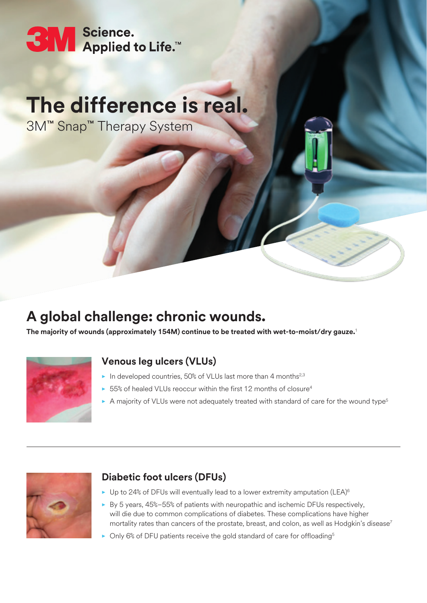# SM Science.<br>SM Applied to Life.™

# **The difference is real.**

3M™ Snap™ Therapy System

## **A global challenge: chronic wounds.**

**The majority of wounds (approximately 154M) continue to be treated with wet-to-moist/dry gauze.**<sup>1</sup>



### **Venous leg ulcers (VLUs)**

- ▶ In developed countries, 50% of VLUs last more than 4 months<sup>2,3</sup>
- **▶ 55% of healed VLUs reoccur within the first 12 months of closure<sup>4</sup>**
- **▶ A majority of VLUs were not adequately treated with standard of care for the wound type<sup>5</sup>**



#### **Diabetic foot ulcers (DFUs)**

- ▶ Up to 24% of DFUs will eventually lead to a lower extremity amputation (LEA)<sup>6</sup>
- **�** By 5 years, 45%–55% of patients with neuropathic and ischemic DFUs respectively, will die due to common complications of diabetes. These complications have higher mortality rates than cancers of the prostate, breast, and colon, as well as Hodgkin's disease<sup>7</sup>
- ▶ Only 6% of DFU patients receive the gold standard of care for offloading<sup>5</sup>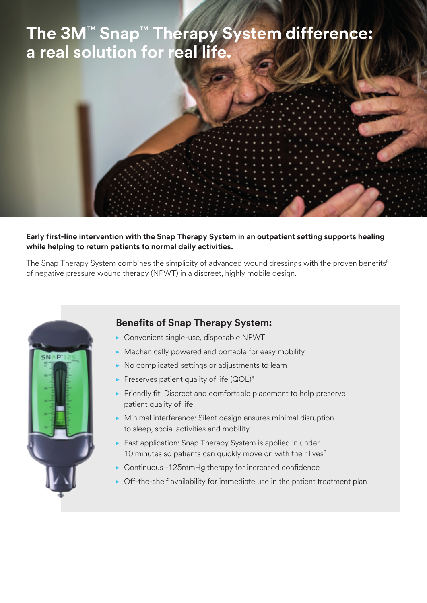## **The 3M**™ **Snap**™ **Therapy System difference: a real solution for real life.**

#### **Early first-line intervention with the Snap Therapy System in an outpatient setting supports healing while helping to return patients to normal daily activities.**

The Snap Therapy System combines the simplicity of advanced wound dressings with the proven benefits<sup>8</sup> of negative pressure wound therapy (NPWT) in a discreet, highly mobile design.



### **Benefits of Snap Therapy System:**

- **�** Convenient single-use, disposable NPWT
- **�** Mechanically powered and portable for easy mobility
- **�** No complicated settings or adjustments to learn
- ▶ Preserves patient quality of life (QOL)<sup>8</sup>
- **�** Friendly fit: Discreet and comfortable placement to help preserve patient quality of life
- **�** Minimal interference: Silent design ensures minimal disruption to sleep, social activities and mobility
- ▶ Fast application: Snap Therapy System is applied in under 10 minutes so patients can quickly move on with their lives<sup>9</sup>
- **�** Continuous -125mmHg therapy for increased confidence
- **�** Off-the-shelf availability for immediate use in the patient treatment plan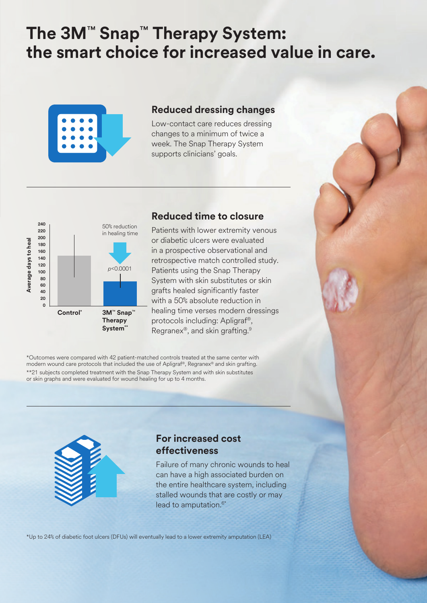## **The 3M**™ **Snap**™ **Therapy System: the smart choice for increased value in care.**



#### **Reduced dressing changes**

Low-contact care reduces dressing changes to a minimum of twice a week. The Snap Therapy System supports clinicians' goals.



#### **Reduced time to closure**

Patients with lower extremity venous or diabetic ulcers were evaluated in a prospective observational and retrospective match controlled study. Patients using the Snap Therapy System with skin substitutes or skin grafts healed significantly faster with a 50% absolute reduction in healing time verses modern dressings protocols including: Apligraf®, Regranex®, and skin grafting.9

\*Outcomes were compared with 42 patient-matched controls treated at the same center with modern wound care protocols that included the use of Apligraf®, Regranex® and skin grafting. \*\*21 subjects completed treatment with the Snap Therapy System and with skin substitutes or skin graphs and were evaluated for wound healing for up to 4 months.



#### **For increased cost effectiveness**

Failure of many chronic wounds to heal can have a high associated burden on the entire healthcare system, including stalled wounds that are costly or may lead to amputation. $6*$ 

\*Up to 24% of diabetic foot ulcers (DFUs) will eventually lead to a lower extremity amputation (LEA)